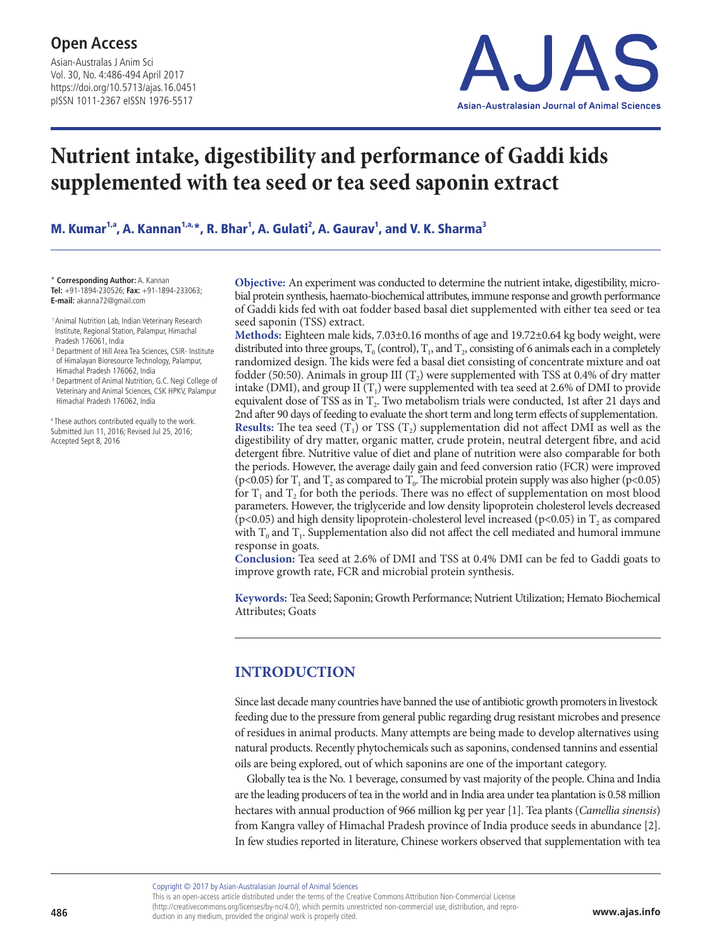Asian-Australas J Anim Sci Vol. 30, No. 4:486-494 April 2017 https://doi.org/10.5713/ajas.16.0451 pISSN 1011-2367 eISSN 1976-5517



# **Nutrient intake, digestibility and performance of Gaddi kids supplemented with tea seed or tea seed saponin extract**

M. Kumar<sup>1,a</sup>, A. Kannan<sup>1,a,</sup>\*, R. Bhar<sup>1</sup>, A. Gulati<sup>2</sup>, A. Gaurav<sup>1</sup>, and V. K. Sharma<sup>3</sup>

\* **Corresponding Author:** A. Kannan **Tel:** +91-1894-230526; **Fax:** +91-1894-233063; **E-mail:** akanna72@gmail.com

<sup>1</sup> Animal Nutrition Lab, Indian Veterinary Research Institute, Regional Station, Palampur, Himachal Pradesh 176061, India

- <sup>2</sup> Department of Hill Area Tea Sciences, CSIR- Institute of Himalayan Bioresource Technology, Palampur, Himachal Pradesh 176062, India
- <sup>3</sup> Department of Animal Nutrition, G.C. Negi College of Veterinary and Animal Sciences, CSK HPKV, Palampur Himachal Pradesh 176062, India

a These authors contributed equally to the work. Submitted Jun 11, 2016; Revised Jul 25, 2016; Accepted Sept 8, 2016

**Objective:** An experiment was conducted to determine the nutrient intake, digestibility, microbial protein synthesis, haemato-biochemical attributes, immune response and growth performance of Gaddi kids fed with oat fodder based basal diet supplemented with either tea seed or tea seed saponin (TSS) extract.

**Methods:** Eighteen male kids, 7.03±0.16 months of age and 19.72±0.64 kg body weight, were distributed into three groups,  $T_0$  (control),  $T_1$ , and  $T_2$ , consisting of 6 animals each in a completely randomized design. The kids were fed a basal diet consisting of concentrate mixture and oat fodder (50:50). Animals in group III  $(T_2)$  were supplemented with TSS at 0.4% of dry matter intake (DMI), and group II  $(T_1)$  were supplemented with tea seed at 2.6% of DMI to provide equivalent dose of TSS as in T<sub>2</sub>. Two metabolism trials were conducted, 1st after 21 days and 2nd after 90 days of feeding to evaluate the short term and long term effects of supplementation. **Results:** The tea seed  $(T_1)$  or TSS  $(T_2)$  supplementation did not affect DMI as well as the digestibility of dry matter, organic matter, crude protein, neutral detergent fibre, and acid detergent fibre. Nutritive value of diet and plane of nutrition were also comparable for both the periods. However, the average daily gain and feed conversion ratio (FCR) were improved (p<0.05) for T<sub>1</sub> and T<sub>2</sub> as compared to T<sub>0</sub>. The microbial protein supply was also higher (p<0.05) for  $T_1$  and  $T_2$  for both the periods. There was no effect of supplementation on most blood parameters. However, the triglyceride and low density lipoprotein cholesterol levels decreased (p<0.05) and high density lipoprotein-cholesterol level increased (p<0.05) in  $T_2$  as compared with  $T_0$  and  $T_1$ . Supplementation also did not affect the cell mediated and humoral immune response in goats.

**Conclusion:** Tea seed at 2.6% of DMI and TSS at 0.4% DMI can be fed to Gaddi goats to improve growth rate, FCR and microbial protein synthesis.

**Keywords:** Tea Seed; Saponin; Growth Performance; Nutrient Utilization; Hemato Biochemical Attributes; Goats

# **INTRODUCTION**

Since last decade many countries have banned the use of antibiotic growth promoters in livestock feeding due to the pressure from general public regarding drug resistant microbes and presence of residues in animal products. Many attempts are being made to develop alternatives using natural products. Recently phytochemicals such as saponins, condensed tannins and essential oils are being explored, out of which saponins are one of the important category.

Globally tea is the No. 1 beverage, consumed by vast majority of the people. China and India are the leading producers of tea in the world and in India area under tea plantation is 0.58 million hectares with annual production of 966 million kg per year [1]. Tea plants (*Camellia sinensis*) from Kangra valley of Himachal Pradesh province of India produce seeds in abundance [2]. In few studies reported in literature, Chinese workers observed that supplementation with tea

Copyright © 2017 by Asian-Australasian Journal of Animal Sciences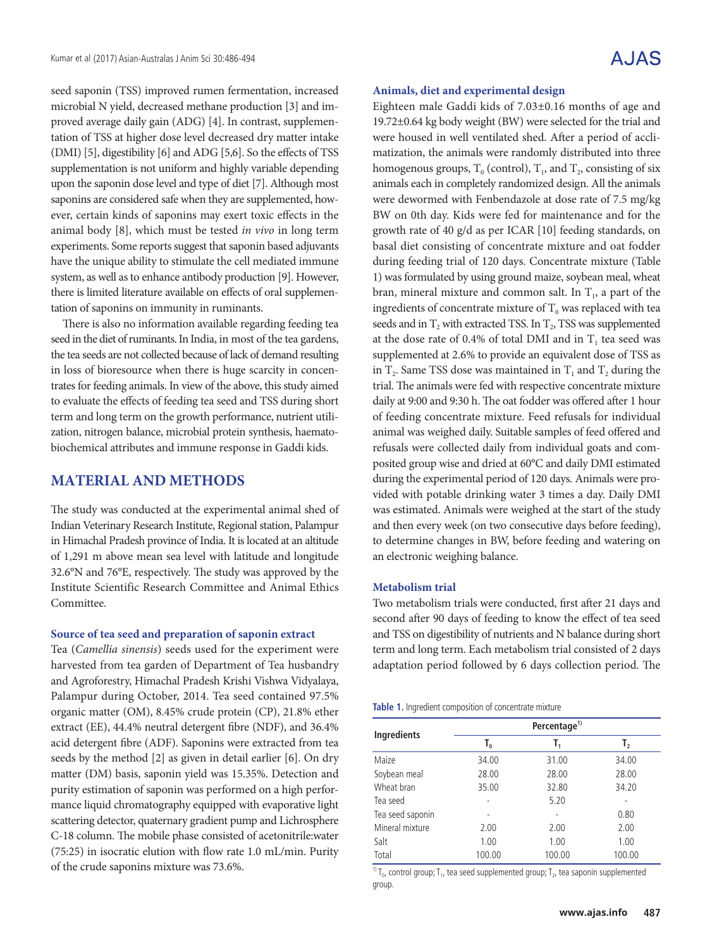seed saponin (TSS) improved rumen fermentation, increased microbial N yield, decreased methane production [3] and improved average daily gain (ADG) [4]. In contrast, supplementation of TSS at higher dose level decreased dry matter intake (DMI) [5], digestibility [6] and ADG [5,6]. So the effects of TSS supplementation is not uniform and highly variable depending upon the saponin dose level and type of diet [7]. Although most saponins are considered safe when they are supplemented, however, certain kinds of saponins may exert toxic effects in the animal body [8], which must be tested *in vivo* in long term experiments. Some reports suggest that saponin based adjuvants have the unique ability to stimulate the cell mediated immune system, as well as to enhance antibody production [9]. However, there is limited literature available on effects of oral supplementation of saponins on immunity in ruminants.

There is also no information available regarding feeding tea seed in the diet of ruminants. In India, in most of the tea gardens, the tea seeds are not collected because of lack of demand resulting in loss of bioresource when there is huge scarcity in concentrates for feeding animals. In view of the above, this study aimed to evaluate the effects of feeding tea seed and TSS during short term and long term on the growth performance, nutrient utilization, nitrogen balance, microbial protein synthesis, haematobiochemical attributes and immune response in Gaddi kids.

## **MATERIAL AND METHODS**

The study was conducted at the experimental animal shed of Indian Veterinary Research Institute, Regional station, Palampur in Himachal Pradesh province of India. It is located at an altitude of 1,291 m above mean sea level with latitude and longitude 32.6°N and 76°E, respectively. The study was approved by the Institute Scientific Research Committee and Animal Ethics Committee.

## **Source of tea seed and preparation of saponin extract**

Tea (*Camellia sinensis*) seeds used for the experiment were harvested from tea garden of Department of Tea husbandry and Agroforestry, Himachal Pradesh Krishi Vishwa Vidyalaya, Palampur during October, 2014. Tea seed contained 97.5% organic matter (OM), 8.45% crude protein (CP), 21.8% ether extract (EE), 44.4% neutral detergent fibre (NDF), and 36.4% acid detergent fibre (ADF). Saponins were extracted from tea seeds by the method [2] as given in detail earlier [6]. On dry matter (DM) basis, saponin yield was 15.35%. Detection and purity estimation of saponin was performed on a high performance liquid chromatography equipped with evaporative light scattering detector, quaternary gradient pump and Lichrosphere C-18 column. The mobile phase consisted of acetonitrile:water (75:25) in isocratic elution with flow rate 1.0 mL/min. Purity of the crude saponins mixture was 73.6%.

#### **Animals, diet and experimental design**

Eighteen male Gaddi kids of 7.03±0.16 months of age and 19.72±0.64 kg body weight (BW) were selected for the trial and were housed in well ventilated shed. After a period of acclimatization, the animals were randomly distributed into three homogenous groups,  $T_0$  (control),  $T_1$ , and  $T_2$ , consisting of six animals each in completely randomized design. All the animals were dewormed with Fenbendazole at dose rate of 7.5 mg/kg BW on 0th day. Kids were fed for maintenance and for the growth rate of 40 g/d as per ICAR [10] feeding standards, on basal diet consisting of concentrate mixture and oat fodder during feeding trial of 120 days. Concentrate mixture (Table 1) was formulated by using ground maize, soybean meal, wheat bran, mineral mixture and common salt. In  $T<sub>1</sub>$ , a part of the ingredients of concentrate mixture of  $T_0$  was replaced with tea seeds and in  $T_2$  with extracted TSS. In  $T_2$ , TSS was supplemented at the dose rate of 0.4% of total DMI and in  $T<sub>1</sub>$  tea seed was supplemented at 2.6% to provide an equivalent dose of TSS as in  $T_2$ . Same TSS dose was maintained in  $T_1$  and  $T_2$  during the trial. The animals were fed with respective concentrate mixture daily at 9:00 and 9:30 h. The oat fodder was offered after 1 hour of feeding concentrate mixture. Feed refusals for individual animal was weighed daily. Suitable samples of feed offered and refusals were collected daily from individual goats and composited group wise and dried at 60°C and daily DMI estimated during the experimental period of 120 days. Animals were provided with potable drinking water 3 times a day. Daily DMI was estimated. Animals were weighed at the start of the study and then every week (on two consecutive days before feeding), to determine changes in BW, before feeding and watering on an electronic weighing balance.

## **Metabolism trial**

Two metabolism trials were conducted, first after 21 days and second after 90 days of feeding to know the effect of tea seed and TSS on digestibility of nutrients and N balance during short term and long term. Each metabolism trial consisted of 2 days adaptation period followed by 6 days collection period. The

|  | Table 1. Ingredient composition of concentrate mixture |  |  |
|--|--------------------------------------------------------|--|--|
|  |                                                        |  |  |

|                    |        | Percentage <sup>1)</sup> |        |  |  |  |  |  |
|--------------------|--------|--------------------------|--------|--|--|--|--|--|
| <b>Ingredients</b> | т.     | т,                       | т,     |  |  |  |  |  |
| Maize              | 34.00  | 31.00                    | 34.00  |  |  |  |  |  |
| Soybean meal       | 28.00  | 28.00                    | 28.00  |  |  |  |  |  |
| Wheat bran         | 35.00  | 32.80                    | 34.20  |  |  |  |  |  |
| Tea seed           |        | 5.20                     |        |  |  |  |  |  |
| Tea seed saponin   |        |                          | 0.80   |  |  |  |  |  |
| Mineral mixture    | 2.00   | 2.00                     | 2.00   |  |  |  |  |  |
| Salt               | 1.00   | 1.00                     | 1.00   |  |  |  |  |  |
| Total              | 100.00 | 100.00                   | 100.00 |  |  |  |  |  |

<sup>1)</sup> T<sub>0</sub>, control group; T<sub>1</sub>, tea seed supplemented group; T<sub>2</sub>, tea saponin supplemented group.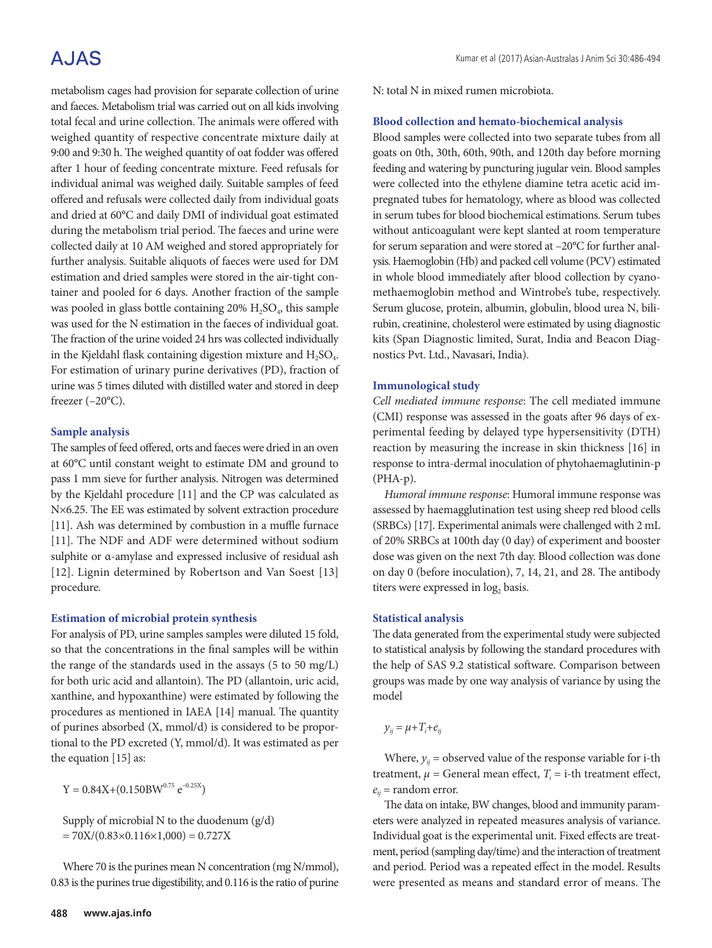# A.JAS

metabolism cages had provision for separate collection of urine and faeces. Metabolism trial was carried out on all kids involving total fecal and urine collection. The animals were offered with weighed quantity of respective concentrate mixture daily at 9:00 and 9:30 h. The weighed quantity of oat fodder was offered after 1 hour of feeding concentrate mixture. Feed refusals for individual animal was weighed daily. Suitable samples of feed offered and refusals were collected daily from individual goats and dried at 60°C and daily DMI of individual goat estimated during the metabolism trial period. The faeces and urine were collected daily at 10 AM weighed and stored appropriately for further analysis. Suitable aliquots of faeces were used for DM estimation and dried samples were stored in the air-tight container and pooled for 6 days. Another fraction of the sample was pooled in glass bottle containing  $20\%$   $H_2SO_4$ , this sample was used for the N estimation in the faeces of individual goat. The fraction of the urine voided 24 hrs was collected individually in the Kjeldahl flask containing digestion mixture and  $H_2SO_4$ . For estimation of urinary purine derivatives (PD), fraction of urine was 5 times diluted with distilled water and stored in deep freezer (–20°C).

## **Sample analysis**

The samples of feed offered, orts and faeces were dried in an oven at 60°C until constant weight to estimate DM and ground to pass 1 mm sieve for further analysis. Nitrogen was determined by the Kjeldahl procedure [11] and the CP was calculated as N×6.25. The EE was estimated by solvent extraction procedure [11]. Ash was determined by combustion in a muffle furnace [11]. The NDF and ADF were determined without sodium sulphite or α-amylase and expressed inclusive of residual ash [12]. Lignin determined by Robertson and Van Soest [13] procedure.

## **Estimation of microbial protein synthesis**

For analysis of PD, urine samples samples were diluted 15 fold, so that the concentrations in the final samples will be within the range of the standards used in the assays (5 to 50 mg/L) for both uric acid and allantoin). The PD (allantoin, uric acid, xanthine, and hypoxanthine) were estimated by following the procedures as mentioned in IAEA [14] manual. The quantity of purines absorbed (X, mmol/d) is considered to be proportional to the PD excreted (Y, mmol/d). It was estimated as per the equation [15] as:

 $Y = 0.84X + (0.150BW^{0.75} e^{-0.25X})$ 

Supply of microbial N to the duodenum (g/d)  $= 70X/(0.83\times0.116\times1,000) = 0.727X$ 

Where 70 is the purines mean N concentration (mg N/mmol), 0.83 is the purines true digestibility, and 0.116 is the ratio of purine N: total N in mixed rumen microbiota.

## **Blood collection and hemato-biochemical analysis**

Blood samples were collected into two separate tubes from all goats on 0th, 30th, 60th, 90th, and 120th day before morning feeding and watering by puncturing jugular vein. Blood samples were collected into the ethylene diamine tetra acetic acid impregnated tubes for hematology, where as blood was collected in serum tubes for blood biochemical estimations. Serum tubes without anticoagulant were kept slanted at room temperature for serum separation and were stored at –20°C for further analysis. Haemoglobin (Hb) and packed cell volume (PCV) estimated in whole blood immediately after blood collection by cyanomethaemoglobin method and Wintrobe's tube, respectively. Serum glucose, protein, albumin, globulin, blood urea N, bilirubin, creatinine, cholesterol were estimated by using diagnostic kits (Span Diagnostic limited, Surat, India and Beacon Diagnostics Pvt. Ltd., Navasari, India).

## **Immunological study**

*Cell mediated immune response*: The cell mediated immune (CMI) response was assessed in the goats after 96 days of experimental feeding by delayed type hypersensitivity (DTH) reaction by measuring the increase in skin thickness [16] in response to intra-dermal inoculation of phytohaemaglutinin-p (PHA-p).

*Humoral immune response*: Humoral immune response was assessed by haemagglutination test using sheep red blood cells (SRBCs) [17]. Experimental animals were challenged with 2 mL of 20% SRBCs at 100th day (0 day) of experiment and booster dose was given on the next 7th day. Blood collection was done on day 0 (before inoculation), 7, 14, 21, and 28. The antibody titers were expressed in log<sub>2</sub> basis.

## **Statistical analysis**

The data generated from the experimental study were subjected to statistical analysis by following the standard procedures with the help of SAS 9.2 statistical software. Comparison between groups was made by one way analysis of variance by using the model

 $y_{ij} = \mu + T_i + e_{ij}$ 

Where,  $y_{ij}$  = observed value of the response variable for i-th treatment,  $\mu$  = General mean effect,  $T_i$  = i-th treatment effect,  $e_{ii}$  = random error.

The data on intake, BW changes, blood and immunity parameters were analyzed in repeated measures analysis of variance. Individual goat is the experimental unit. Fixed effects are treatment, period (sampling day/time) and the interaction of treatment and period. Period was a repeated effect in the model. Results were presented as means and standard error of means. The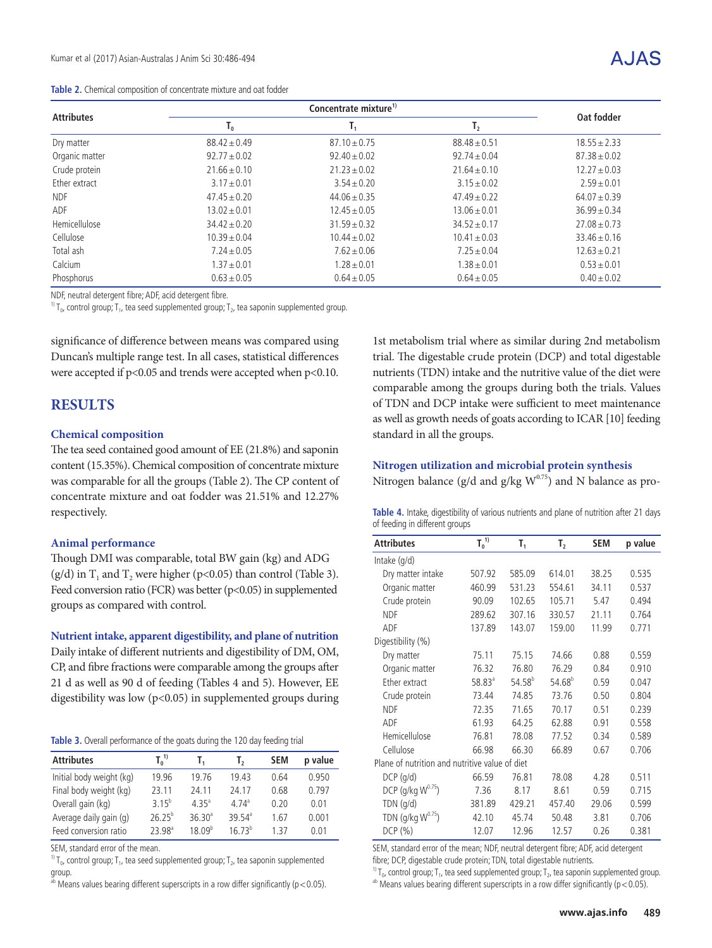|  |  |  | Table 2. Chemical composition of concentrate mixture and oat fodder |  |  |  |  |  |
|--|--|--|---------------------------------------------------------------------|--|--|--|--|--|
|--|--|--|---------------------------------------------------------------------|--|--|--|--|--|

| <b>Attributes</b> |                  | Concentrate mixture <sup>1)</sup> |                  |                  |  |  |  |
|-------------------|------------------|-----------------------------------|------------------|------------------|--|--|--|
|                   | $I_0$            | ı,                                | $\mathsf{T}_2$   | Oat fodder       |  |  |  |
| Dry matter        | $88.42 \pm 0.49$ | $87.10 \pm 0.75$                  | $88.48 \pm 0.51$ | $18.55 \pm 2.33$ |  |  |  |
| Organic matter    | $92.77 \pm 0.02$ | $92.40 \pm 0.02$                  | $92.74 \pm 0.04$ | $87.38 \pm 0.02$ |  |  |  |
| Crude protein     | $21.66 \pm 0.10$ | $21.23 \pm 0.02$                  | $21.64 \pm 0.10$ | $12.27 \pm 0.03$ |  |  |  |
| Ether extract     | $3.17 \pm 0.01$  | $3.54 \pm 0.20$                   | $3.15 \pm 0.02$  | $2.59 \pm 0.01$  |  |  |  |
| <b>NDF</b>        | $47.45 \pm 0.20$ | $44.06 \pm 0.35$                  | $47.49 \pm 0.22$ | $64.07 \pm 0.39$ |  |  |  |
| ADF               | $13.02 \pm 0.01$ | $12.45 \pm 0.05$                  | $13.06 \pm 0.01$ | $36.99 \pm 0.34$ |  |  |  |
| Hemicellulose     | $34.42 \pm 0.20$ | $31.59 \pm 0.32$                  | $34.52 \pm 0.17$ | $27.08 \pm 0.73$ |  |  |  |
| Cellulose         | $10.39 \pm 0.04$ | $10.44 \pm 0.02$                  | $10.41 \pm 0.03$ | $33.46 \pm 0.16$ |  |  |  |
| Total ash         | $7.24 \pm 0.05$  | $7.62 + 0.06$                     | $7.25 \pm 0.04$  | $12.63 + 0.21$   |  |  |  |
| Calcium           | $1.37 \pm 0.01$  | $1.28 \pm 0.01$                   | $1.38 \pm 0.01$  | $0.53 \pm 0.01$  |  |  |  |
| Phosphorus        | $0.63 \pm 0.05$  | $0.64 \pm 0.05$                   | $0.64 \pm 0.05$  | $0.40 \pm 0.02$  |  |  |  |

NDF, neutral detergent fibre; ADF, acid detergent fibre.

<sup>1)</sup> T<sub>0</sub>, control group; T<sub>1</sub>, tea seed supplemented group; T<sub>2</sub>, tea saponin supplemented group.

significance of difference between means was compared using Duncan's multiple range test. In all cases, statistical differences were accepted if p<0.05 and trends were accepted when p<0.10.

## **RESULTS**

### **Chemical composition**

The tea seed contained good amount of EE (21.8%) and saponin content (15.35%). Chemical composition of concentrate mixture was comparable for all the groups (Table 2). The CP content of concentrate mixture and oat fodder was 21.51% and 12.27% respectively.

#### **Animal performance**

Though DMI was comparable, total BW gain (kg) and ADG  $(g/d)$  in T<sub>1</sub> and T<sub>2</sub> were higher (p<0.05) than control (Table 3). Feed conversion ratio (FCR) was better (p<0.05) in supplemented groups as compared with control.

#### **Nutrient intake, apparent digestibility, and plane of nutrition**

Daily intake of different nutrients and digestibility of DM, OM, CP, and fibre fractions were comparable among the groups after 21 d as well as 90 d of feeding (Tables 4 and 5). However, EE digestibility was low (p<0.05) in supplemented groups during

**Table 3.** Overall performance of the goats during the 120 day feeding trial

| <b>Attributes</b>        | $T_0^{\ 1)}$       |                    | $\mathbf{I}_{2}$   | <b>SEM</b> | p value |
|--------------------------|--------------------|--------------------|--------------------|------------|---------|
| Initial body weight (kg) | 19.96              | 19.76              | 19.43              | 0.64       | 0.950   |
| Final body weight (kg)   | 23.11              | 24.11              | 24.17              | 0.68       | 0.797   |
| Overall gain (kg)        | 3 $15^{b}$         | 4.35 <sup>a</sup>  | $474^{\circ}$      | 0.20       | 0.01    |
| Average daily gain (g)   | $26.25^{b}$        | 36.30 <sup>a</sup> | 39.54 <sup>a</sup> | 1.67       | 0.001   |
| Feed conversion ratio    | 23.98 <sup>a</sup> | 18.09 <sup>b</sup> | $1673^b$           | 1 37       | 0.01    |

SEM, standard error of the mean.

<sup>1)</sup> T<sub>0</sub>, control group; T<sub>1</sub>, tea seed supplemented group; T<sub>2</sub>, tea saponin supplemented group.

<sup>ab</sup> Means values bearing different superscripts in a row differ significantly ( $p < 0.05$ ).

1st metabolism trial where as similar during 2nd metabolism trial. The digestable crude protein (DCP) and total digestable nutrients (TDN) intake and the nutritive value of the diet were comparable among the groups during both the trials. Values of TDN and DCP intake were sufficient to meet maintenance as well as growth needs of goats according to ICAR [10] feeding standard in all the groups.

## **Nitrogen utilization and microbial protein synthesis** Nitrogen balance (g/d and g/kg  $W^{0.75}$ ) and N balance as pro-

**Table 4.** Intake, digestibility of various nutrients and plane of nutrition after 21 days of feeding in different groups

| <b>Attributes</b>                              | $T_0^{\ 1)}$ | $T_1$       | $\mathsf{T}_2$ | <b>SEM</b> | p value |
|------------------------------------------------|--------------|-------------|----------------|------------|---------|
| Intake $(q/d)$                                 |              |             |                |            |         |
| Dry matter intake                              | 507.92       | 585.09      | 614.01         | 38.25      | 0.535   |
| Organic matter                                 | 460.99       | 531.23      | 554.61         | 34.11      | 0.537   |
| Crude protein                                  | 90.09        | 102.65      | 105.71         | 5.47       | 0.494   |
| <b>NDF</b>                                     | 289.62       | 307.16      | 330.57         | 21.11      | 0.764   |
| ADF                                            | 137.89       | 143.07      | 159.00         | 11.99      | 0.771   |
| Digestibility (%)                              |              |             |                |            |         |
| Dry matter                                     | 75.11        | 75.15       | 74.66          | 0.88       | 0.559   |
| Organic matter                                 | 76.32        | 76.80       | 76.29          | 0.84       | 0.910   |
| Ether extract                                  | $58.83^{a}$  | $54.58^{b}$ | $54.68^{b}$    | 0.59       | 0.047   |
| Crude protein                                  | 73.44        | 74.85       | 73.76          | 0.50       | 0.804   |
| <b>NDF</b>                                     | 72.35        | 71.65       | 70.17          | 0.51       | 0.239   |
| ADF                                            | 61.93        | 64.25       | 62.88          | 0.91       | 0.558   |
| Hemicellulose                                  | 76.81        | 78.08       | 77.52          | 0.34       | 0.589   |
| Cellulose                                      | 66.98        | 66.30       | 66.89          | 0.67       | 0.706   |
| Plane of nutrition and nutritive value of diet |              |             |                |            |         |
| $DCP$ ( $q/d$ )                                | 66.59        | 76.81       | 78.08          | 4.28       | 0.511   |
| DCP (g/kg W <sup>0.75</sup> )                  | 7.36         | 8.17        | 8.61           | 0.59       | 0.715   |
| $TDN$ ( $g/d$ )                                | 381.89       | 429.21      | 457.40         | 29.06      | 0.599   |
| TDN $(g/kg W^{0.75})$                          | 42.10        | 45.74       | 50.48          | 3.81       | 0.706   |
| DCP(%)                                         | 12.07        | 12.96       | 12.57          | 0.26       | 0.381   |

SEM, standard error of the mean; NDF, neutral detergent fibre; ADF, acid detergent fibre; DCP, digestable crude protein; TDN, total digestable nutrients.

<sup>1)</sup> T<sub>0</sub>, control group; T<sub>1</sub>, tea seed supplemented group; T<sub>2</sub>, tea saponin supplemented group. ab Means values bearing different superscripts in a row differ significantly (p < 0.05).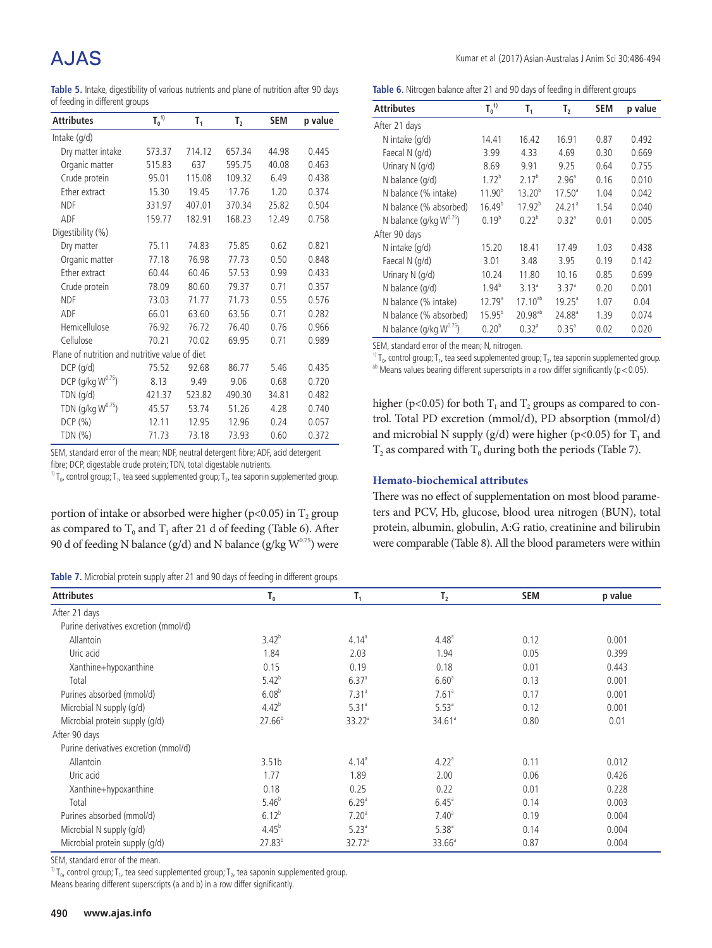# A.JAS

**Table 5.** Intake, digestibility of various nutrients and plane of nutrition after 90 days of feeding in different groups

| <b>Attributes</b>                              | $T_0^{\ 1)}$ | $\mathsf{T}_1$ | T <sub>2</sub> | <b>SEM</b> | p value |
|------------------------------------------------|--------------|----------------|----------------|------------|---------|
| Intake (g/d)                                   |              |                |                |            |         |
| Dry matter intake                              | 573.37       | 714.12         | 657.34         | 44.98      | 0.445   |
| Organic matter                                 | 515.83       | 637            | 595.75         | 40.08      | 0.463   |
| Crude protein                                  | 95.01        | 115.08         | 109.32         | 6.49       | 0.438   |
| Ether extract                                  | 15.30        | 19.45          | 17.76          | 1.20       | 0.374   |
| <b>NDF</b>                                     | 331.97       | 407.01         | 370.34         | 25.82      | 0.504   |
| ADF                                            | 159.77       | 182.91         | 168.23         | 12.49      | 0.758   |
| Digestibility (%)                              |              |                |                |            |         |
| Dry matter                                     | 75.11        | 74.83          | 75.85          | 0.62       | 0.821   |
| Organic matter                                 | 77.18        | 76.98          | 77.73          | 0.50       | 0.848   |
| Ether extract                                  | 60.44        | 60.46          | 57.53          | 0.99       | 0.433   |
| Crude protein                                  | 78.09        | 80.60          | 79.37          | 0.71       | 0.357   |
| <b>NDF</b>                                     | 73.03        | 71.77          | 71.73          | 0.55       | 0.576   |
| ADF                                            | 66.01        | 63.60          | 63.56          | 0.71       | 0.282   |
| Hemicellulose                                  | 76.92        | 76.72          | 76.40          | 0.76       | 0.966   |
| Cellulose                                      | 70.21        | 70.02          | 69.95          | 0.71       | 0.989   |
| Plane of nutrition and nutritive value of diet |              |                |                |            |         |
| $DCP$ (g/d)                                    | 75.52        | 92.68          | 86.77          | 5.46       | 0.435   |
| DCP (g/kg W <sup>0.75</sup> )                  | 8.13         | 9.49           | 9.06           | 0.68       | 0.720   |
| TDN (g/d)                                      | 421.37       | 523.82         | 490.30         | 34.81      | 0.482   |
| TDN (g/kg W <sup>0.75</sup> )                  | 45.57        | 53.74          | 51.26          | 4.28       | 0.740   |
| DCP(%)                                         | 12.11        | 12.95          | 12.96          | 0.24       | 0.057   |
| TDN $(\%)$                                     | 71.73        | 73.18          | 73.93          | 0.60       | 0.372   |

SEM, standard error of the mean; NDF, neutral detergent fibre; ADF, acid detergent

fibre; DCP, digestable crude protein; TDN, total digestable nutrients.

 $1$ <sup>1</sup>) T<sub>0</sub>, control group; T<sub>1</sub>, tea seed supplemented group; T<sub>2</sub>, tea saponin supplemented group.

portion of intake or absorbed were higher (p<0.05) in  $T_2$  group as compared to  $T_0$  and  $T_1$  after 21 d of feeding (Table 6). After 90 d of feeding N balance (g/d) and N balance (g/kg  $W^{0.75}$ ) were

| Table 7. Microbial protein supply after 21 and 90 days of feeding in different groups |  |  |  |  |
|---------------------------------------------------------------------------------------|--|--|--|--|
|---------------------------------------------------------------------------------------|--|--|--|--|

Kumar et al (2017) Asian-Australas J Anim Sci 30:486-494

Table 6. Nitrogen balance after 21 and 90 days of feeding in different groups

| <b>Attributes</b>            | $T_0^{\ 1)}$       | т,                 | T <sub>2</sub>     | <b>SEM</b> | p value |
|------------------------------|--------------------|--------------------|--------------------|------------|---------|
| After 21 days                |                    |                    |                    |            |         |
| N intake (q/d)               | 14.41              | 16.42              | 16.91              | 0.87       | 0.492   |
| Faecal N (g/d)               | 3.99               | 4.33               | 4.69               | 0.30       | 0.669   |
| Urinary N (g/d)              | 8.69               | 9.91               | 9.25               | 0.64       | 0.755   |
| N balance (q/d)              | $1.72^{b}$         | $2.17^{b}$         | 2.96 <sup>a</sup>  | 0.16       | 0.010   |
| N balance (% intake)         | $11.90^{b}$        | $13.20^{b}$        | $17.50^{\circ}$    | 1.04       | 0.042   |
| N balance (% absorbed)       | 16.49 <sup>b</sup> | 17.92 <sup>b</sup> | 24.21 <sup>a</sup> | 1.54       | 0.040   |
| N balance (g/kg $W^{0.75}$ ) | $0.19^{b}$         | $0.22^{b}$         | 0.32 <sup>a</sup>  | 0.01       | 0.005   |
| After 90 days                |                    |                    |                    |            |         |
| N intake (g/d)               | 15.20              | 18.41              | 17.49              | 1.03       | 0.438   |
| Faecal N (g/d)               | 3.01               | 3.48               | 3.95               | 0.19       | 0.142   |
| Urinary N (g/d)              | 10.24              | 11.80              | 10.16              | 0.85       | 0.699   |
| N balance (q/d)              | $1.94^{b}$         | 3.13 <sup>a</sup>  | $3.37^{a}$         | 0.20       | 0.001   |
| N balance (% intake)         | $12.79^{\circ}$    | $17.10^{ab}$       | $19.25^{\circ}$    | 1.07       | 0.04    |
| N balance (% absorbed)       | $15.95^{b}$        | $20.98^{ab}$       | $24.88^{a}$        | 1.39       | 0.074   |
| N balance (g/kg $W^{0.75}$ ) | $0.20^{b}$         | 0.32 <sup>a</sup>  | $0.35^{a}$         | 0.02       | 0.020   |

SEM, standard error of the mean; N, nitrogen.

<sup>1)</sup>  $T_0$ , control group; T<sub>1</sub>, tea seed supplemented group; T<sub>2</sub>, tea saponin supplemented group.

 $a<sup>b</sup>$  Means values bearing different superscripts in a row differ significantly (p < 0.05).

higher (p<0.05) for both  $T_1$  and  $T_2$  groups as compared to control. Total PD excretion (mmol/d), PD absorption (mmol/d) and microbial N supply (g/d) were higher (p<0.05) for  $T_1$  and  $T_2$  as compared with  $T_0$  during both the periods (Table 7).

## **Hemato-biochemical attributes**

There was no effect of supplementation on most blood parameters and PCV, Hb, glucose, blood urea nitrogen (BUN), total protein, albumin, globulin, A:G ratio, creatinine and bilirubin were comparable (Table 8). All the blood parameters were within

| <b>Attributes</b>                     | $T_0$             | $T_1$             | $T_{2}$            | <b>SEM</b> | p value |
|---------------------------------------|-------------------|-------------------|--------------------|------------|---------|
| After 21 days                         |                   |                   |                    |            |         |
| Purine derivatives excretion (mmol/d) |                   |                   |                    |            |         |
| Allantoin                             | $3.42^{b}$        | 4.14 <sup>a</sup> | 4.48 <sup>a</sup>  | 0.12       | 0.001   |
| Uric acid                             | 1.84              | 2.03              | 1.94               | 0.05       | 0.399   |
| Xanthine+hypoxanthine                 | 0.15              | 0.19              | 0.18               | 0.01       | 0.443   |
| Total                                 | $5.42^{b}$        | 6.37 <sup>a</sup> | 6.60 <sup>a</sup>  | 0.13       | 0.001   |
| Purines absorbed (mmol/d)             | $6.08^{b}$        | 7.31 <sup>a</sup> | 7.61 <sup>a</sup>  | 0.17       | 0.001   |
| Microbial N supply (g/d)              | $4.42^{b}$        | $5.31^{a}$        | 5.53 <sup>a</sup>  | 0.12       | 0.001   |
| Microbial protein supply (g/d)        | $27.66^{b}$       | $33.22^{\circ}$   | 34.61 <sup>a</sup> | 0.80       | 0.01    |
| After 90 days                         |                   |                   |                    |            |         |
| Purine derivatives excretion (mmol/d) |                   |                   |                    |            |         |
| Allantoin                             | 3.51 <sub>b</sub> | 4.14 <sup>a</sup> | 4.22 <sup>a</sup>  | 0.11       | 0.012   |
| Uric acid                             | 1.77              | 1.89              | 2.00               | 0.06       | 0.426   |
| Xanthine+hypoxanthine                 | 0.18              | 0.25              | 0.22               | 0.01       | 0.228   |
| Total                                 | $5.46^{b}$        | 6.29 <sup>a</sup> | $6.45^{\circ}$     | 0.14       | 0.003   |
| Purines absorbed (mmol/d)             | $6.12^{b}$        | 7.20 <sup>a</sup> | 7.40 <sup>a</sup>  | 0.19       | 0.004   |
| Microbial N supply (g/d)              | $4.45^{b}$        | $5.23^{a}$        | $5.38^{a}$         | 0.14       | 0.004   |
| Microbial protein supply (g/d)        | $27.83^{b}$       | $32.72^a$         | $33.66^a$          | 0.87       | 0.004   |

SEM, standard error of the mean.

<sup>1)</sup> T<sub>0</sub>, control group; T<sub>1</sub>, tea seed supplemented group; T<sub>2</sub>, tea saponin supplemented group.

Means bearing different superscripts (a and b) in a row differ significantly.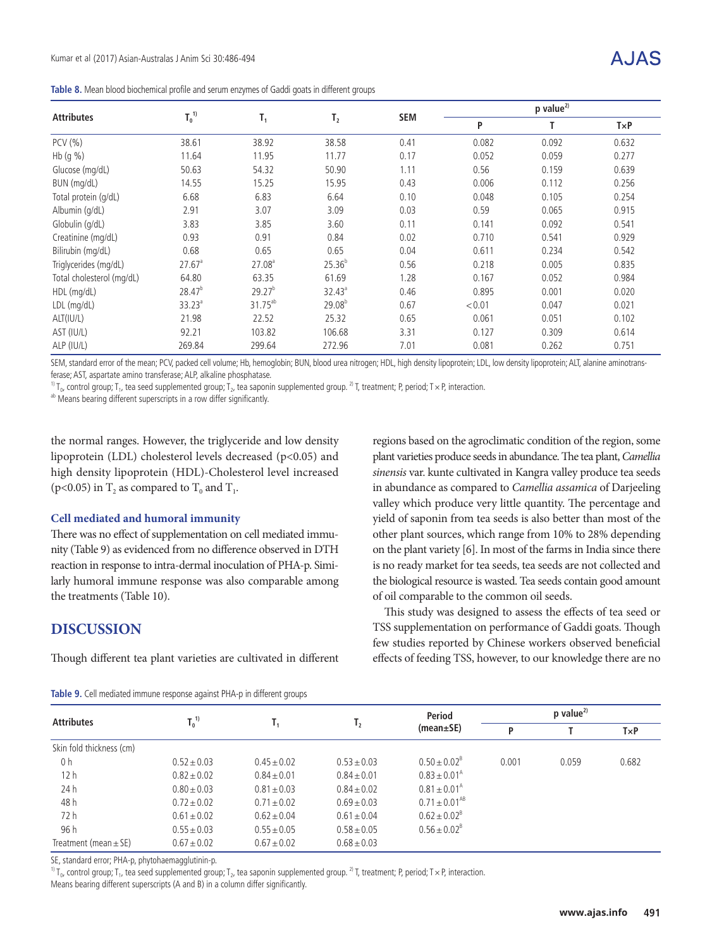**Table 8.** Mean blood biochemical profile and serum enzymes of Gaddi goats in different groups

|                           | $T_0^{\ 1)}$<br>$T_1$ |                    |             | <b>SEM</b> | $p$ value <sup>2)</sup> |       |              |  |
|---------------------------|-----------------------|--------------------|-------------|------------|-------------------------|-------|--------------|--|
| <b>Attributes</b>         |                       |                    | $T_{2}$     |            | P                       | T     | $T \times P$ |  |
| PCV (%)                   | 38.61                 | 38.92              | 38.58       | 0.41       | 0.082                   | 0.092 | 0.632        |  |
| Hb (g %)                  | 11.64                 | 11.95              | 11.77       | 0.17       | 0.052                   | 0.059 | 0.277        |  |
| Glucose (mg/dL)           | 50.63                 | 54.32              | 50.90       | 1.11       | 0.56                    | 0.159 | 0.639        |  |
| BUN (mg/dL)               | 14.55                 | 15.25              | 15.95       | 0.43       | 0.006                   | 0.112 | 0.256        |  |
| Total protein (g/dL)      | 6.68                  | 6.83               | 6.64        | 0.10       | 0.048                   | 0.105 | 0.254        |  |
| Albumin (g/dL)            | 2.91                  | 3.07               | 3.09        | 0.03       | 0.59                    | 0.065 | 0.915        |  |
| Globulin (g/dL)           | 3.83                  | 3.85               | 3.60        | 0.11       | 0.141                   | 0.092 | 0.541        |  |
| Creatinine (mg/dL)        | 0.93                  | 0.91               | 0.84        | 0.02       | 0.710                   | 0.541 | 0.929        |  |
| Bilirubin (mg/dL)         | 0.68                  | 0.65               | 0.65        | 0.04       | 0.611                   | 0.234 | 0.542        |  |
| Triglycerides (mg/dL)     | $27.67$ <sup>a</sup>  | 27.08 <sup>a</sup> | $25.36^{b}$ | 0.56       | 0.218                   | 0.005 | 0.835        |  |
| Total cholesterol (mg/dL) | 64.80                 | 63.35              | 61.69       | 1.28       | 0.167                   | 0.052 | 0.984        |  |
| HDL (mg/dL)               | 28.47 <sup>b</sup>    | 29.27 <sup>b</sup> | $32.43^a$   | 0.46       | 0.895                   | 0.001 | 0.020        |  |
| LDL (mg/dL)               | $33.23^a$             | $31.75^{ab}$       | $29.08^{b}$ | 0.67       | < 0.01                  | 0.047 | 0.021        |  |
| ALT(IU/L)                 | 21.98                 | 22.52              | 25.32       | 0.65       | 0.061                   | 0.051 | 0.102        |  |
| AST (IU/L)                | 92.21                 | 103.82             | 106.68      | 3.31       | 0.127                   | 0.309 | 0.614        |  |
| ALP (IU/L)                | 269.84                | 299.64             | 272.96      | 7.01       | 0.081                   | 0.262 | 0.751        |  |

SEM, standard error of the mean; PCV, packed cell volume; Hb, hemoglobin; BUN, blood urea nitrogen; HDL, high density lipoprotein; LDL, low density lipoprotein; ALT, alanine aminotransferase; AST, aspartate amino transferase; ALP, alkaline phosphatase.

<sup>1)</sup> T<sub>0</sub>, control group; T<sub>1</sub>, tea seed supplemented group; T<sub>2</sub>, tea saponin supplemented group. <sup>2)</sup> T, treatment; P, period; T × P, interaction.

ab Means bearing different superscripts in a row differ significantly.

the normal ranges. However, the triglyceride and low density lipoprotein (LDL) cholesterol levels decreased (p<0.05) and high density lipoprotein (HDL)-Cholesterol level increased (p<0.05) in  $T_2$  as compared to  $T_0$  and  $T_1$ .

## **Cell mediated and humoral immunity**

There was no effect of supplementation on cell mediated immunity (Table 9) as evidenced from no difference observed in DTH reaction in response to intra-dermal inoculation of PHA-p. Similarly humoral immune response was also comparable among the treatments (Table 10).

## **DISCUSSION**

Though different tea plant varieties are cultivated in different

regions based on the agroclimatic condition of the region, some plant varieties produce seeds in abundance. The tea plant, *Camellia sinensis* var. kunte cultivated in Kangra valley produce tea seeds in abundance as compared to *Camellia assamica* of Darjeeling valley which produce very little quantity. The percentage and yield of saponin from tea seeds is also better than most of the other plant sources, which range from 10% to 28% depending on the plant variety [6]. In most of the farms in India since there is no ready market for tea seeds, tea seeds are not collected and the biological resource is wasted. Tea seeds contain good amount of oil comparable to the common oil seeds.

This study was designed to assess the effects of tea seed or TSS supplementation on performance of Gaddi goats. Though few studies reported by Chinese workers observed beneficial effects of feeding TSS, however, to our knowledge there are no

| <b>Attributes</b>         | $T_0^{\ 1)}$    |                 |                 | <b>Period</b>           | $p$ value <sup>2)</sup> |       |       |
|---------------------------|-----------------|-----------------|-----------------|-------------------------|-------------------------|-------|-------|
|                           |                 | т,              | Τ,              | (mean±SE)               | P                       |       | TxP   |
| Skin fold thickness (cm)  |                 |                 |                 |                         |                         |       |       |
| 0 h                       | $0.52 \pm 0.03$ | $0.45 \pm 0.02$ | $0.53 + 0.03$   | $0.50 \pm 0.02^8$       | 0.001                   | 0.059 | 0.682 |
| 12h                       | $0.82 \pm 0.02$ | $0.84 \pm 0.01$ | $0.84 \pm 0.01$ | $0.83 \pm 0.01^{\circ}$ |                         |       |       |
| 24 h                      | $0.80 \pm 0.03$ | $0.81 \pm 0.03$ | $0.84 \pm 0.02$ | $0.81 \pm 0.01^{\circ}$ |                         |       |       |
| 48 h                      | $0.72 \pm 0.02$ | $0.71 \pm 0.02$ | $0.69 \pm 0.03$ | $0.71 \pm 0.01^{AB}$    |                         |       |       |
| 72 h                      | $0.61 \pm 0.02$ | $0.62 \pm 0.04$ | $0.61 \pm 0.04$ | $0.62 \pm 0.02^8$       |                         |       |       |
| 96 h                      | $0.55 + 0.03$   | $0.55 \pm 0.05$ | $0.58 + 0.05$   | $0.56 \pm 0.02^8$       |                         |       |       |
| Treatment (mean $\pm$ SE) | $0.67 \pm 0.02$ | $0.67 \pm 0.02$ | $0.68 \pm 0.03$ |                         |                         |       |       |

**Table 9.** Cell mediated immune response against PHA-p in different groups

SE, standard error; PHA-p, phytohaemagglutinin-p.

<sup>1)</sup> T<sub>0</sub>, control group; T<sub>1</sub>, tea seed supplemented group; T<sub>2</sub>, tea saponin supplemented group. <sup>2)</sup> T, treatment; P, period; T × P, interaction. Means bearing different superscripts (A and B) in a column differ significantly.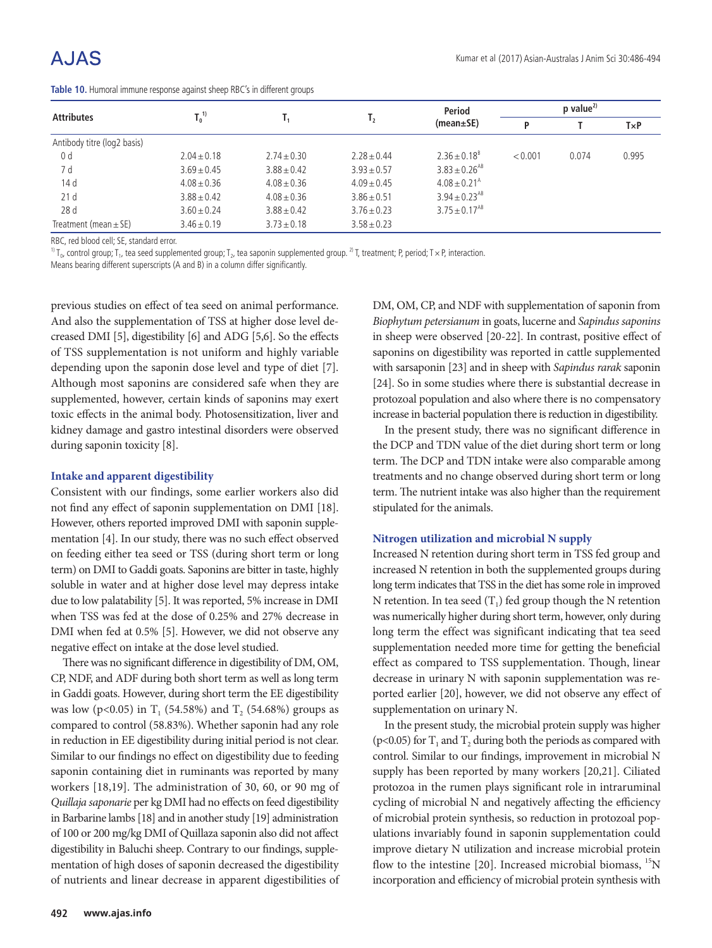| <b>Attributes</b>           | $T_0^{\ 1)}$    |                 | I <sub>2</sub>  | Period                        | $p$ value <sup>2)</sup> |       |       |  |
|-----------------------------|-----------------|-----------------|-----------------|-------------------------------|-------------------------|-------|-------|--|
|                             |                 |                 |                 | (mean±SE)                     | Þ                       |       | TxP   |  |
| Antibody titre (log2 basis) |                 |                 |                 |                               |                         |       |       |  |
| 0 <sub>d</sub>              | $2.04 \pm 0.18$ | $2.74 \pm 0.30$ | $2.28 + 0.44$   | $2.36 + 0.18^{8}$             | < 0.001                 | 0.074 | 0.995 |  |
| 7 d                         | $3.69 \pm 0.45$ | $3.88 \pm 0.42$ | $3.93 + 0.57$   | $3.83 \pm 0.26$ <sup>AB</sup> |                         |       |       |  |
| 14 d                        | $4.08 \pm 0.36$ | $4.08 \pm 0.36$ | $4.09 \pm 0.45$ | $4.08 \pm 0.21^{\text{A}}$    |                         |       |       |  |
| 21d                         | $3.88 \pm 0.42$ | $4.08 \pm 0.36$ | $3.86 + 0.51$   | $3.94 \pm 0.23^{AB}$          |                         |       |       |  |
| 28d                         | $3.60 \pm 0.24$ | $3.88 \pm 0.42$ | $3.76 + 0.23$   | $3.75 \pm 0.17^{AB}$          |                         |       |       |  |
| Treatment (mean $\pm$ SE)   | $3.46 \pm 0.19$ | $3.73 \pm 0.18$ | $3.58 \pm 0.23$ |                               |                         |       |       |  |

|  |  | Table 10. Humoral immune response against sheep RBC's in different groups |  |  |  |  |
|--|--|---------------------------------------------------------------------------|--|--|--|--|
|  |  |                                                                           |  |  |  |  |

RBC, red blood cell; SE, standard error.

<sup>1)</sup> T<sub>0</sub>, control group; T<sub>1</sub>, tea seed supplemented group; T<sub>2</sub>, tea saponin supplemented group. <sup>2)</sup> T, treatment; P, period; T × P, interaction.

Means bearing different superscripts (A and B) in a column differ significantly.

previous studies on effect of tea seed on animal performance. And also the supplementation of TSS at higher dose level decreased DMI [5], digestibility [6] and ADG [5,6]. So the effects of TSS supplementation is not uniform and highly variable depending upon the saponin dose level and type of diet [7]. Although most saponins are considered safe when they are supplemented, however, certain kinds of saponins may exert toxic effects in the animal body. Photosensitization, liver and kidney damage and gastro intestinal disorders were observed during saponin toxicity [8].

### **Intake and apparent digestibility**

Consistent with our findings, some earlier workers also did not find any effect of saponin supplementation on DMI [18]. However, others reported improved DMI with saponin supplementation [4]. In our study, there was no such effect observed on feeding either tea seed or TSS (during short term or long term) on DMI to Gaddi goats. Saponins are bitter in taste, highly soluble in water and at higher dose level may depress intake due to low palatability [5]. It was reported, 5% increase in DMI when TSS was fed at the dose of 0.25% and 27% decrease in DMI when fed at 0.5% [5]. However, we did not observe any negative effect on intake at the dose level studied.

There was no significant difference in digestibility of DM, OM, CP, NDF, and ADF during both short term as well as long term in Gaddi goats. However, during short term the EE digestibility was low (p<0.05) in  $T_1$  (54.58%) and  $T_2$  (54.68%) groups as compared to control (58.83%). Whether saponin had any role in reduction in EE digestibility during initial period is not clear. Similar to our findings no effect on digestibility due to feeding saponin containing diet in ruminants was reported by many workers [18,19]. The administration of 30, 60, or 90 mg of *Quillaja saponarie* per kg DMI had no effects on feed digestibility in Barbarine lambs [18] and in another study [19] administration of 100 or 200 mg/kg DMI of Quillaza saponin also did not affect digestibility in Baluchi sheep. Contrary to our findings, supplementation of high doses of saponin decreased the digestibility of nutrients and linear decrease in apparent digestibilities of DM, OM, CP, and NDF with supplementation of saponin from *Biophytum petersianum* in goats, lucerne and *Sapindus saponins* in sheep were observed [20-22]. In contrast, positive effect of saponins on digestibility was reported in cattle supplemented with sarsaponin [23] and in sheep with *Sapindus rarak* saponin [24]. So in some studies where there is substantial decrease in protozoal population and also where there is no compensatory increase in bacterial population there is reduction in digestibility.

In the present study, there was no significant difference in the DCP and TDN value of the diet during short term or long term. The DCP and TDN intake were also comparable among treatments and no change observed during short term or long term. The nutrient intake was also higher than the requirement stipulated for the animals.

#### **Nitrogen utilization and microbial N supply**

Increased N retention during short term in TSS fed group and increased N retention in both the supplemented groups during long term indicates that TSS in the diet has some role in improved N retention. In tea seed  $(T_1)$  fed group though the N retention was numerically higher during short term, however, only during long term the effect was significant indicating that tea seed supplementation needed more time for getting the beneficial effect as compared to TSS supplementation. Though, linear decrease in urinary N with saponin supplementation was reported earlier [20], however, we did not observe any effect of supplementation on urinary N.

In the present study, the microbial protein supply was higher ( $p$ <0.05) for  $T_1$  and  $T_2$  during both the periods as compared with control. Similar to our findings, improvement in microbial N supply has been reported by many workers [20,21]. Ciliated protozoa in the rumen plays significant role in intraruminal cycling of microbial N and negatively affecting the efficiency of microbial protein synthesis, so reduction in protozoal populations invariably found in saponin supplementation could improve dietary N utilization and increase microbial protein flow to the intestine [20]. Increased microbial biomass, <sup>15</sup>N incorporation and efficiency of microbial protein synthesis with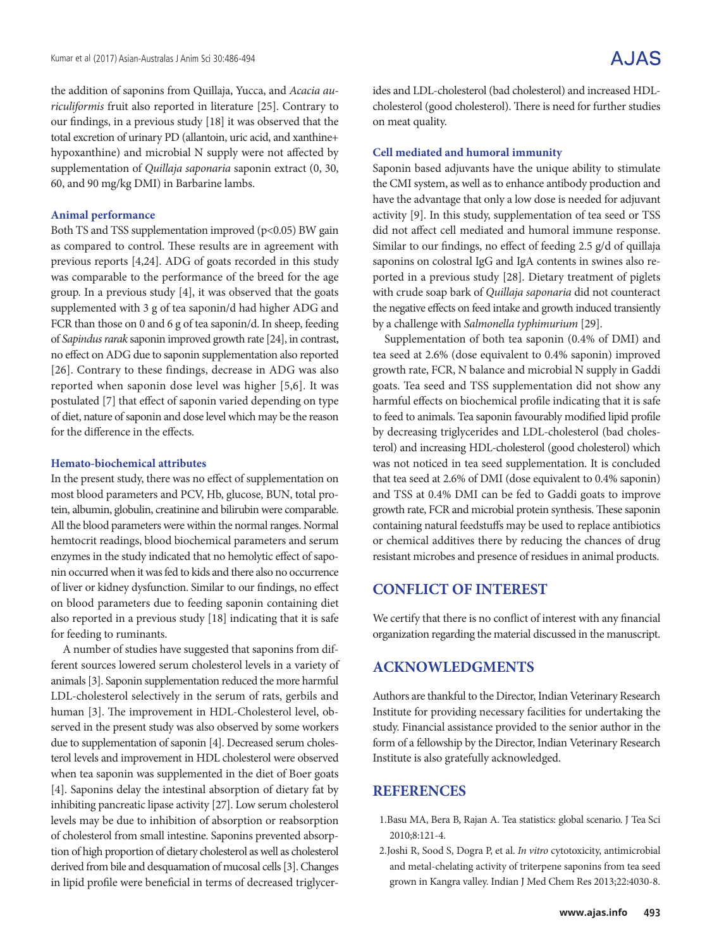the addition of saponins from Quillaja, Yucca, and *Acacia auriculiformis* fruit also reported in literature [25]. Contrary to our findings, in a previous study [18] it was observed that the total excretion of urinary PD (allantoin, uric acid, and xanthine+ hypoxanthine) and microbial N supply were not affected by supplementation of *Quillaja saponaria* saponin extract (0, 30, 60, and 90 mg/kg DMI) in Barbarine lambs.

### **Animal performance**

Both TS and TSS supplementation improved (p<0.05) BW gain as compared to control. These results are in agreement with previous reports [4,24]. ADG of goats recorded in this study was comparable to the performance of the breed for the age group. In a previous study [4], it was observed that the goats supplemented with 3 g of tea saponin/d had higher ADG and FCR than those on 0 and 6 g of tea saponin/d. In sheep, feeding of *Sapindus rarak* saponin improved growth rate [24], in contrast, no effect on ADG due to saponin supplementation also reported [26]. Contrary to these findings, decrease in ADG was also reported when saponin dose level was higher [5,6]. It was postulated [7] that effect of saponin varied depending on type of diet, nature of saponin and dose level which may be the reason for the difference in the effects.

## **Hemato-biochemical attributes**

In the present study, there was no effect of supplementation on most blood parameters and PCV, Hb, glucose, BUN, total protein, albumin, globulin, creatinine and bilirubin were comparable. All the blood parameters were within the normal ranges. Normal hemtocrit readings, blood biochemical parameters and serum enzymes in the study indicated that no hemolytic effect of saponin occurred when it was fed to kids and there also no occurrence of liver or kidney dysfunction. Similar to our findings, no effect on blood parameters due to feeding saponin containing diet also reported in a previous study [18] indicating that it is safe for feeding to ruminants.

A number of studies have suggested that saponins from different sources lowered serum cholesterol levels in a variety of animals [3]. Saponin supplementation reduced the more harmful LDL-cholesterol selectively in the serum of rats, gerbils and human [3]. The improvement in HDL-Cholesterol level, observed in the present study was also observed by some workers due to supplementation of saponin [4]. Decreased serum cholesterol levels and improvement in HDL cholesterol were observed when tea saponin was supplemented in the diet of Boer goats [4]. Saponins delay the intestinal absorption of dietary fat by inhibiting pancreatic lipase activity [27]. Low serum cholesterol levels may be due to inhibition of absorption or reabsorption of cholesterol from small intestine. Saponins prevented absorption of high proportion of dietary cholesterol as well as cholesterol derived from bile and desquamation of mucosal cells [3]. Changes in lipid profile were beneficial in terms of decreased triglycerides and LDL-cholesterol (bad cholesterol) and increased HDLcholesterol (good cholesterol). There is need for further studies on meat quality.

### **Cell mediated and humoral immunity**

Saponin based adjuvants have the unique ability to stimulate the CMI system, as well as to enhance antibody production and have the advantage that only a low dose is needed for adjuvant activity [9]. In this study, supplementation of tea seed or TSS did not affect cell mediated and humoral immune response. Similar to our findings, no effect of feeding 2.5 g/d of quillaja saponins on colostral IgG and IgA contents in swines also reported in a previous study [28]. Dietary treatment of piglets with crude soap bark of *Quillaja saponaria* did not counteract the negative effects on feed intake and growth induced transiently by a challenge with *Salmonella typhimurium* [29].

Supplementation of both tea saponin (0.4% of DMI) and tea seed at 2.6% (dose equivalent to 0.4% saponin) improved growth rate, FCR, N balance and microbial N supply in Gaddi goats. Tea seed and TSS supplementation did not show any harmful effects on biochemical profile indicating that it is safe to feed to animals. Tea saponin favourably modified lipid profile by decreasing triglycerides and LDL-cholesterol (bad cholesterol) and increasing HDL-cholesterol (good cholesterol) which was not noticed in tea seed supplementation. It is concluded that tea seed at 2.6% of DMI (dose equivalent to 0.4% saponin) and TSS at 0.4% DMI can be fed to Gaddi goats to improve growth rate, FCR and microbial protein synthesis. These saponin containing natural feedstuffs may be used to replace antibiotics or chemical additives there by reducing the chances of drug resistant microbes and presence of residues in animal products.

# **CONFLICT OF INTEREST**

We certify that there is no conflict of interest with any financial organization regarding the material discussed in the manuscript.

# **ACKNOWLEDGMENTS**

Authors are thankful to the Director, Indian Veterinary Research Institute for providing necessary facilities for undertaking the study. Financial assistance provided to the senior author in the form of a fellowship by the Director, Indian Veterinary Research Institute is also gratefully acknowledged.

# **REFERENCES**

- 1.Basu MA, Bera B, Rajan A. Tea statistics: global scenario. J Tea Sci 2010;8:121-4.
- 2.Joshi R, Sood S, Dogra P, et al. *In vitro* cytotoxicity, antimicrobial and metal-chelating activity of triterpene saponins from tea seed grown in Kangra valley. Indian J Med Chem Res 2013;22:4030-8.